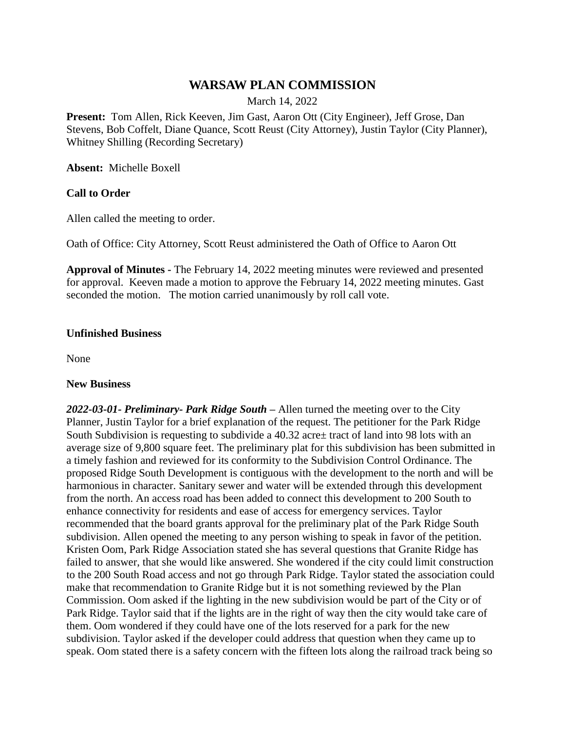# **WARSAW PLAN COMMISSION**

March 14, 2022

**Present:** Tom Allen, Rick Keeven, Jim Gast, Aaron Ott (City Engineer), Jeff Grose, Dan Stevens, Bob Coffelt, Diane Quance, Scott Reust (City Attorney), Justin Taylor (City Planner), Whitney Shilling (Recording Secretary)

**Absent:** Michelle Boxell

### **Call to Order**

Allen called the meeting to order.

Oath of Office: City Attorney, Scott Reust administered the Oath of Office to Aaron Ott

**Approval of Minutes -** The February 14, 2022 meeting minutes were reviewed and presented for approval. Keeven made a motion to approve the February 14, 2022 meeting minutes. Gast seconded the motion. The motion carried unanimously by roll call vote.

#### **Unfinished Business**

None

#### **New Business**

*2022-03-01- Preliminary- Park Ridge South –* Allen turned the meeting over to the City Planner, Justin Taylor for a brief explanation of the request. The petitioner for the Park Ridge South Subdivision is requesting to subdivide a 40.32 acre± tract of land into 98 lots with an average size of 9,800 square feet. The preliminary plat for this subdivision has been submitted in a timely fashion and reviewed for its conformity to the Subdivision Control Ordinance. The proposed Ridge South Development is contiguous with the development to the north and will be harmonious in character. Sanitary sewer and water will be extended through this development from the north. An access road has been added to connect this development to 200 South to enhance connectivity for residents and ease of access for emergency services. Taylor recommended that the board grants approval for the preliminary plat of the Park Ridge South subdivision. Allen opened the meeting to any person wishing to speak in favor of the petition. Kristen Oom, Park Ridge Association stated she has several questions that Granite Ridge has failed to answer, that she would like answered. She wondered if the city could limit construction to the 200 South Road access and not go through Park Ridge. Taylor stated the association could make that recommendation to Granite Ridge but it is not something reviewed by the Plan Commission. Oom asked if the lighting in the new subdivision would be part of the City or of Park Ridge. Taylor said that if the lights are in the right of way then the city would take care of them. Oom wondered if they could have one of the lots reserved for a park for the new subdivision. Taylor asked if the developer could address that question when they came up to speak. Oom stated there is a safety concern with the fifteen lots along the railroad track being so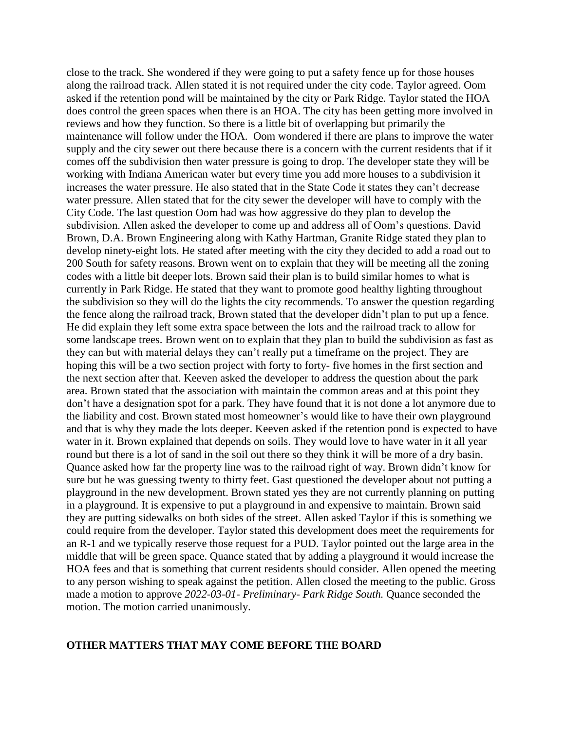close to the track. She wondered if they were going to put a safety fence up for those houses along the railroad track. Allen stated it is not required under the city code. Taylor agreed. Oom asked if the retention pond will be maintained by the city or Park Ridge. Taylor stated the HOA does control the green spaces when there is an HOA. The city has been getting more involved in reviews and how they function. So there is a little bit of overlapping but primarily the maintenance will follow under the HOA. Oom wondered if there are plans to improve the water supply and the city sewer out there because there is a concern with the current residents that if it comes off the subdivision then water pressure is going to drop. The developer state they will be working with Indiana American water but every time you add more houses to a subdivision it increases the water pressure. He also stated that in the State Code it states they can't decrease water pressure. Allen stated that for the city sewer the developer will have to comply with the City Code. The last question Oom had was how aggressive do they plan to develop the subdivision. Allen asked the developer to come up and address all of Oom's questions. David Brown, D.A. Brown Engineering along with Kathy Hartman, Granite Ridge stated they plan to develop ninety-eight lots. He stated after meeting with the city they decided to add a road out to 200 South for safety reasons. Brown went on to explain that they will be meeting all the zoning codes with a little bit deeper lots. Brown said their plan is to build similar homes to what is currently in Park Ridge. He stated that they want to promote good healthy lighting throughout the subdivision so they will do the lights the city recommends. To answer the question regarding the fence along the railroad track, Brown stated that the developer didn't plan to put up a fence. He did explain they left some extra space between the lots and the railroad track to allow for some landscape trees. Brown went on to explain that they plan to build the subdivision as fast as they can but with material delays they can't really put a timeframe on the project. They are hoping this will be a two section project with forty to forty- five homes in the first section and the next section after that. Keeven asked the developer to address the question about the park area. Brown stated that the association with maintain the common areas and at this point they don't have a designation spot for a park. They have found that it is not done a lot anymore due to the liability and cost. Brown stated most homeowner's would like to have their own playground and that is why they made the lots deeper. Keeven asked if the retention pond is expected to have water in it. Brown explained that depends on soils. They would love to have water in it all year round but there is a lot of sand in the soil out there so they think it will be more of a dry basin. Quance asked how far the property line was to the railroad right of way. Brown didn't know for sure but he was guessing twenty to thirty feet. Gast questioned the developer about not putting a playground in the new development. Brown stated yes they are not currently planning on putting in a playground. It is expensive to put a playground in and expensive to maintain. Brown said they are putting sidewalks on both sides of the street. Allen asked Taylor if this is something we could require from the developer. Taylor stated this development does meet the requirements for an R-1 and we typically reserve those request for a PUD. Taylor pointed out the large area in the middle that will be green space. Quance stated that by adding a playground it would increase the HOA fees and that is something that current residents should consider. Allen opened the meeting to any person wishing to speak against the petition. Allen closed the meeting to the public. Gross made a motion to approve *2022-03-01- Preliminary- Park Ridge South.* Quance seconded the motion. The motion carried unanimously.

#### **OTHER MATTERS THAT MAY COME BEFORE THE BOARD**